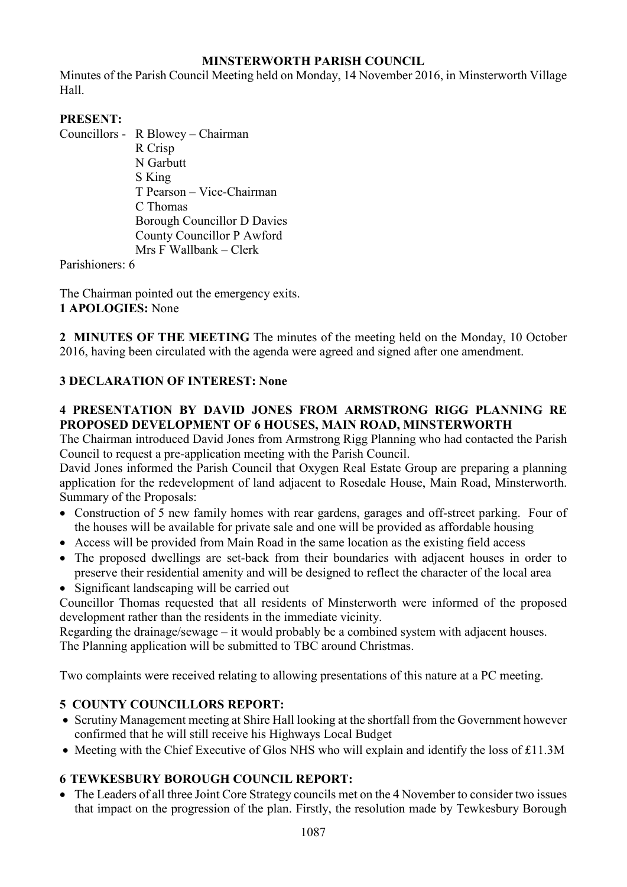# **MINSTERWORTH PARISH COUNCIL**

Minutes of the Parish Council Meeting held on Monday, 14 November 2016, in Minsterworth Village Hall.

# **PRESENT:**

Councillors - R Blowey – Chairman

 R Crisp N Garbutt S King T Pearson – Vice-Chairman C Thomas Borough Councillor D Davies County Councillor P Awford Mrs F Wallbank – Clerk

Parishioners: 6

The Chairman pointed out the emergency exits. **1 APOLOGIES:** None

**2 MINUTES OF THE MEETING** The minutes of the meeting held on the Monday, 10 October 2016, having been circulated with the agenda were agreed and signed after one amendment.

# **3 DECLARATION OF INTEREST: None**

## **4 PRESENTATION BY DAVID JONES FROM ARMSTRONG RIGG PLANNING RE PROPOSED DEVELOPMENT OF 6 HOUSES, MAIN ROAD, MINSTERWORTH**

The Chairman introduced David Jones from Armstrong Rigg Planning who had contacted the Parish Council to request a pre-application meeting with the Parish Council.

David Jones informed the Parish Council that Oxygen Real Estate Group are preparing a planning application for the redevelopment of land adjacent to Rosedale House, Main Road, Minsterworth. Summary of the Proposals:

- Construction of 5 new family homes with rear gardens, garages and off-street parking. Four of the houses will be available for private sale and one will be provided as affordable housing
- Access will be provided from Main Road in the same location as the existing field access
- The proposed dwellings are set-back from their boundaries with adjacent houses in order to preserve their residential amenity and will be designed to reflect the character of the local area
- Significant landscaping will be carried out

Councillor Thomas requested that all residents of Minsterworth were informed of the proposed development rather than the residents in the immediate vicinity.

Regarding the drainage/sewage – it would probably be a combined system with adjacent houses. The Planning application will be submitted to TBC around Christmas.

Two complaints were received relating to allowing presentations of this nature at a PC meeting.

# **5 COUNTY COUNCILLORS REPORT:**

- Scrutiny Management meeting at Shire Hall looking at the shortfall from the Government however confirmed that he will still receive his Highways Local Budget
- Meeting with the Chief Executive of Glos NHS who will explain and identify the loss of £11.3M

# **6 TEWKESBURY BOROUGH COUNCIL REPORT:**

• The Leaders of all three Joint Core Strategy councils met on the 4 November to consider two issues that impact on the progression of the plan. Firstly, the resolution made by Tewkesbury Borough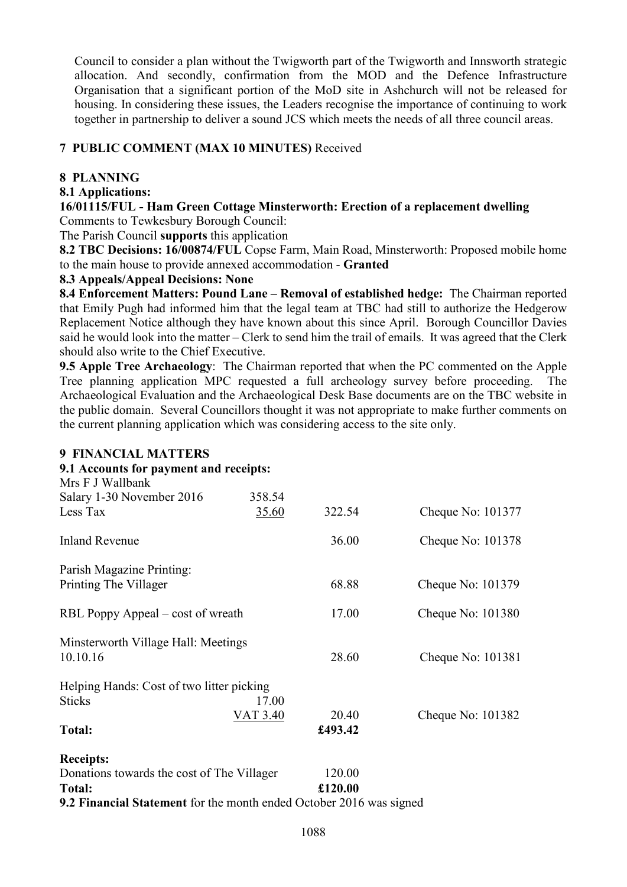Council to consider a plan without the Twigworth part of the Twigworth and Innsworth strategic allocation. And secondly, confirmation from the MOD and the Defence Infrastructure Organisation that a significant portion of the MoD site in Ashchurch will not be released for housing. In considering these issues, the Leaders recognise the importance of continuing to work together in partnership to deliver a sound JCS which meets the needs of all three council areas.

## **7 PUBLIC COMMENT (MAX 10 MINUTES)** Received

#### **8 PLANNING**

#### **8.1 Applications:**

**16/01115/FUL - Ham Green Cottage Minsterworth: Erection of a replacement dwelling**  Comments to Tewkesbury Borough Council:

The Parish Council **supports** this application

**8.2 TBC Decisions: 16/00874/FUL** Copse Farm, Main Road, Minsterworth: Proposed mobile home to the main house to provide annexed accommodation - **Granted** 

### **8.3 Appeals/Appeal Decisions: None**

**8.4 Enforcement Matters: Pound Lane – Removal of established hedge:** The Chairman reported that Emily Pugh had informed him that the legal team at TBC had still to authorize the Hedgerow Replacement Notice although they have known about this since April. Borough Councillor Davies said he would look into the matter – Clerk to send him the trail of emails. It was agreed that the Clerk should also write to the Chief Executive.

**9.5 Apple Tree Archaeology**: The Chairman reported that when the PC commented on the Apple Tree planning application MPC requested a full archeology survey before proceeding. The Archaeological Evaluation and the Archaeological Desk Base documents are on the TBC website in the public domain. Several Councillors thought it was not appropriate to make further comments on the current planning application which was considering access to the site only.

### **9 FINANCIAL MATTERS**

#### **9.1 Accounts for payment and receipts:**  Mrs F J Wallbank

| $1$ v $1131$ J VV ditivating<br>Salary 1-30 November 2016                  | 358.54          |         |                   |
|----------------------------------------------------------------------------|-----------------|---------|-------------------|
| Less Tax                                                                   | 35.60           | 322.54  | Cheque No: 101377 |
| <b>Inland Revenue</b>                                                      |                 | 36.00   | Cheque No: 101378 |
| Parish Magazine Printing:                                                  |                 |         |                   |
| Printing The Villager                                                      |                 | 68.88   | Cheque No: 101379 |
| RBL Poppy Appeal – cost of wreath                                          |                 | 17.00   | Cheque No: 101380 |
| Minsterworth Village Hall: Meetings                                        |                 |         |                   |
| 10.10.16                                                                   |                 | 28.60   | Cheque No: 101381 |
| Helping Hands: Cost of two litter picking                                  |                 |         |                   |
| <b>Sticks</b>                                                              | 17.00           |         |                   |
|                                                                            | <b>VAT 3.40</b> | 20.40   | Cheque No: 101382 |
| <b>Total:</b>                                                              |                 | £493.42 |                   |
| <b>Receipts:</b>                                                           |                 |         |                   |
| Donations towards the cost of The Villager                                 |                 | 120.00  |                   |
| Total:                                                                     |                 | £120.00 |                   |
| <b>9.2 Financial Statement</b> for the month ended October 2016 was signed |                 |         |                   |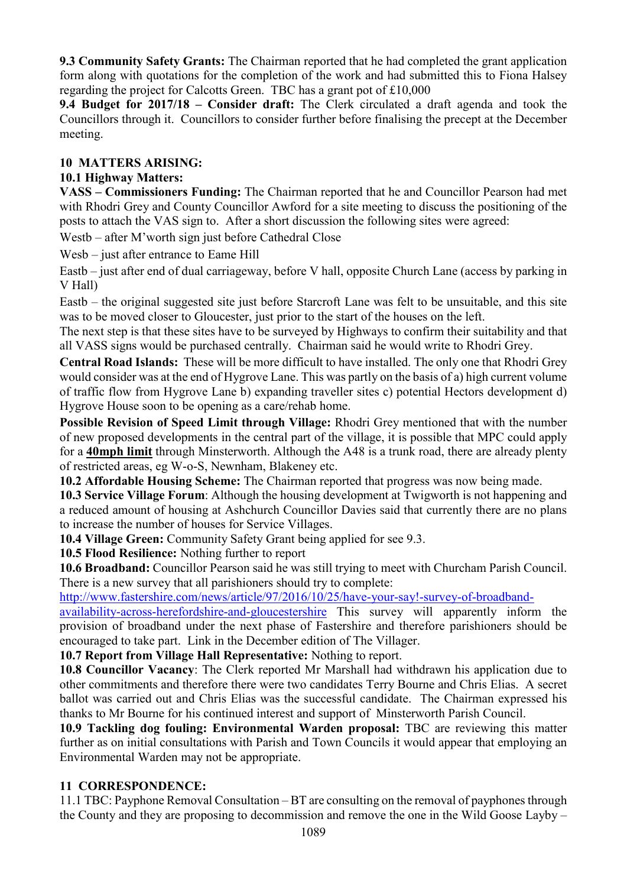**9.3 Community Safety Grants:** The Chairman reported that he had completed the grant application form along with quotations for the completion of the work and had submitted this to Fiona Halsey regarding the project for Calcotts Green. TBC has a grant pot of £10,000

**9.4 Budget for 2017/18 – Consider draft:** The Clerk circulated a draft agenda and took the Councillors through it. Councillors to consider further before finalising the precept at the December meeting.

## **10 MATTERS ARISING:**

## **10.1 Highway Matters:**

**VASS – Commissioners Funding:** The Chairman reported that he and Councillor Pearson had met with Rhodri Grey and County Councillor Awford for a site meeting to discuss the positioning of the posts to attach the VAS sign to. After a short discussion the following sites were agreed:

Westb – after M'worth sign just before Cathedral Close

Wesb – just after entrance to Eame Hill

Eastb – just after end of dual carriageway, before V hall, opposite Church Lane (access by parking in V Hall)

Eastb – the original suggested site just before Starcroft Lane was felt to be unsuitable, and this site was to be moved closer to Gloucester, just prior to the start of the houses on the left.

The next step is that these sites have to be surveyed by Highways to confirm their suitability and that all VASS signs would be purchased centrally. Chairman said he would write to Rhodri Grey.

**Central Road Islands:** These will be more difficult to have installed. The only one that Rhodri Grey would consider was at the end of Hygrove Lane. This was partly on the basis of a) high current volume of traffic flow from Hygrove Lane b) expanding traveller sites c) potential Hectors development d) Hygrove House soon to be opening as a care/rehab home.

**Possible Revision of Speed Limit through Village:** Rhodri Grey mentioned that with the number of new proposed developments in the central part of the village, it is possible that MPC could apply for a **40mph limit** through Minsterworth. Although the A48 is a trunk road, there are already plenty of restricted areas, eg W-o-S, Newnham, Blakeney etc.

**10.2 Affordable Housing Scheme:** The Chairman reported that progress was now being made.

**10.3 Service Village Forum**: Although the housing development at Twigworth is not happening and a reduced amount of housing at Ashchurch Councillor Davies said that currently there are no plans to increase the number of houses for Service Villages.

**10.4 Village Green:** Community Safety Grant being applied for see 9.3.

**10.5 Flood Resilience:** Nothing further to report

**10.6 Broadband:** Councillor Pearson said he was still trying to meet with Churcham Parish Council. There is a new survey that all parishioners should try to complete:

http://www.fastershire.com/news/article/97/2016/10/25/have-your-say!-survey-of-broadband-

availability-across-herefordshire-and-gloucestershire This survey will apparently inform the provision of broadband under the next phase of Fastershire and therefore parishioners should be encouraged to take part. Link in the December edition of The Villager.

**10.7 Report from Village Hall Representative:** Nothing to report.

**10.8 Councillor Vacancy**: The Clerk reported Mr Marshall had withdrawn his application due to other commitments and therefore there were two candidates Terry Bourne and Chris Elias. A secret ballot was carried out and Chris Elias was the successful candidate. The Chairman expressed his thanks to Mr Bourne for his continued interest and support of Minsterworth Parish Council.

**10.9 Tackling dog fouling: Environmental Warden proposal:** TBC are reviewing this matter further as on initial consultations with Parish and Town Councils it would appear that employing an Environmental Warden may not be appropriate.

# **11 CORRESPONDENCE:**

11.1 TBC: Payphone Removal Consultation – BT are consulting on the removal of payphones through the County and they are proposing to decommission and remove the one in the Wild Goose Layby –